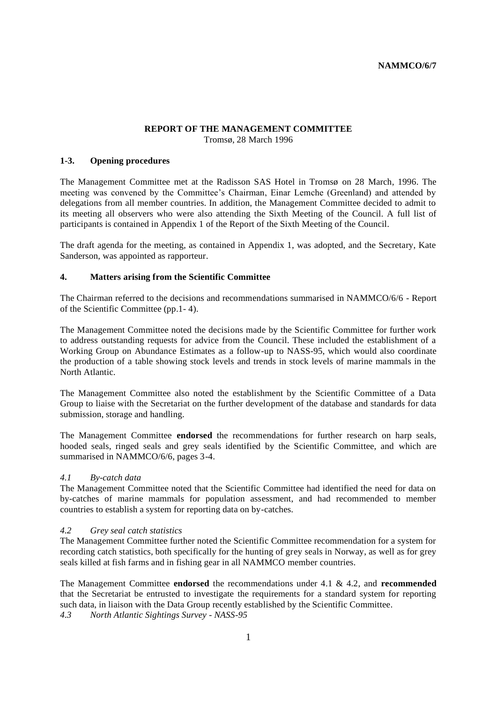#### **REPORT OF THE MANAGEMENT COMMITTEE** Tromsø, 28 March 1996

### **1-3. Opening procedures**

The Management Committee met at the Radisson SAS Hotel in Tromsø on 28 March, 1996. The meeting was convened by the Committee's Chairman, Einar Lemche (Greenland) and attended by delegations from all member countries. In addition, the Management Committee decided to admit to its meeting all observers who were also attending the Sixth Meeting of the Council. A full list of participants is contained in Appendix 1 of the Report of the Sixth Meeting of the Council.

The draft agenda for the meeting, as contained in Appendix 1, was adopted, and the Secretary, Kate Sanderson, was appointed as rapporteur.

#### **4. Matters arising from the Scientific Committee**

The Chairman referred to the decisions and recommendations summarised in NAMMCO/6/6 - Report of the Scientific Committee (pp.1- 4).

The Management Committee noted the decisions made by the Scientific Committee for further work to address outstanding requests for advice from the Council. These included the establishment of a Working Group on Abundance Estimates as a follow-up to NASS-95, which would also coordinate the production of a table showing stock levels and trends in stock levels of marine mammals in the North Atlantic.

The Management Committee also noted the establishment by the Scientific Committee of a Data Group to liaise with the Secretariat on the further development of the database and standards for data submission, storage and handling.

The Management Committee **endorsed** the recommendations for further research on harp seals, hooded seals, ringed seals and grey seals identified by the Scientific Committee, and which are summarised in NAMMCO/6/6, pages 3-4.

#### *4.1 By-catch data*

The Management Committee noted that the Scientific Committee had identified the need for data on by-catches of marine mammals for population assessment, and had recommended to member countries to establish a system for reporting data on by-catches.

### *4.2 Grey seal catch statistics*

The Management Committee further noted the Scientific Committee recommendation for a system for recording catch statistics, both specifically for the hunting of grey seals in Norway, as well as for grey seals killed at fish farms and in fishing gear in all NAMMCO member countries.

The Management Committee **endorsed** the recommendations under 4.1 & 4.2, and **recommended** that the Secretariat be entrusted to investigate the requirements for a standard system for reporting such data, in liaison with the Data Group recently established by the Scientific Committee.

*4.3 North Atlantic Sightings Survey - NASS-95*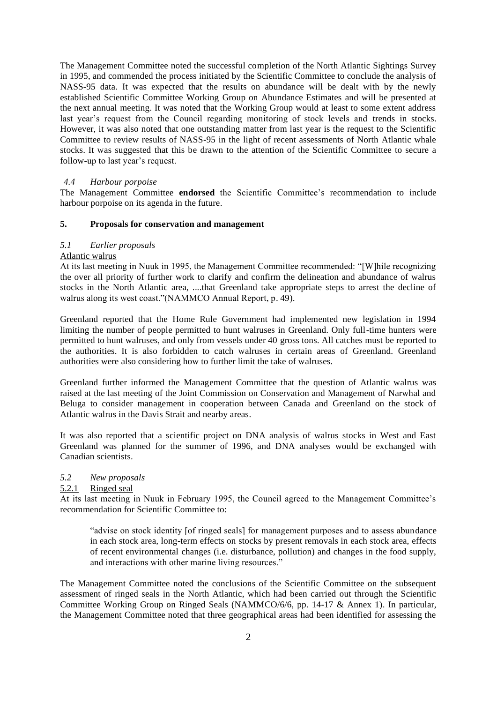The Management Committee noted the successful completion of the North Atlantic Sightings Survey in 1995, and commended the process initiated by the Scientific Committee to conclude the analysis of NASS-95 data. It was expected that the results on abundance will be dealt with by the newly established Scientific Committee Working Group on Abundance Estimates and will be presented at the next annual meeting. It was noted that the Working Group would at least to some extent address last year's request from the Council regarding monitoring of stock levels and trends in stocks. However, it was also noted that one outstanding matter from last year is the request to the Scientific Committee to review results of NASS-95 in the light of recent assessments of North Atlantic whale stocks. It was suggested that this be drawn to the attention of the Scientific Committee to secure a follow-up to last year's request.

#### *4.4 Harbour porpoise*

The Management Committee **endorsed** the Scientific Committee's recommendation to include harbour porpoise on its agenda in the future.

# **5. Proposals for conservation and management**

#### *5.1 Earlier proposals*

#### Atlantic walrus

At its last meeting in Nuuk in 1995, the Management Committee recommended: "[W]hile recognizing the over all priority of further work to clarify and confirm the delineation and abundance of walrus stocks in the North Atlantic area, ....that Greenland take appropriate steps to arrest the decline of walrus along its west coast."(NAMMCO Annual Report, p. 49).

Greenland reported that the Home Rule Government had implemented new legislation in 1994 limiting the number of people permitted to hunt walruses in Greenland. Only full-time hunters were permitted to hunt walruses, and only from vessels under 40 gross tons. All catches must be reported to the authorities. It is also forbidden to catch walruses in certain areas of Greenland. Greenland authorities were also considering how to further limit the take of walruses.

Greenland further informed the Management Committee that the question of Atlantic walrus was raised at the last meeting of the Joint Commission on Conservation and Management of Narwhal and Beluga to consider management in cooperation between Canada and Greenland on the stock of Atlantic walrus in the Davis Strait and nearby areas.

It was also reported that a scientific project on DNA analysis of walrus stocks in West and East Greenland was planned for the summer of 1996, and DNA analyses would be exchanged with Canadian scientists.

#### *5.2 New proposals*

#### 5.2.1 Ringed seal

At its last meeting in Nuuk in February 1995, the Council agreed to the Management Committee's recommendation for Scientific Committee to:

"advise on stock identity [of ringed seals] for management purposes and to assess abundance in each stock area, long-term effects on stocks by present removals in each stock area, effects of recent environmental changes (i.e. disturbance, pollution) and changes in the food supply, and interactions with other marine living resources."

The Management Committee noted the conclusions of the Scientific Committee on the subsequent assessment of ringed seals in the North Atlantic, which had been carried out through the Scientific Committee Working Group on Ringed Seals (NAMMCO/6/6, pp. 14-17 & Annex 1). In particular, the Management Committee noted that three geographical areas had been identified for assessing the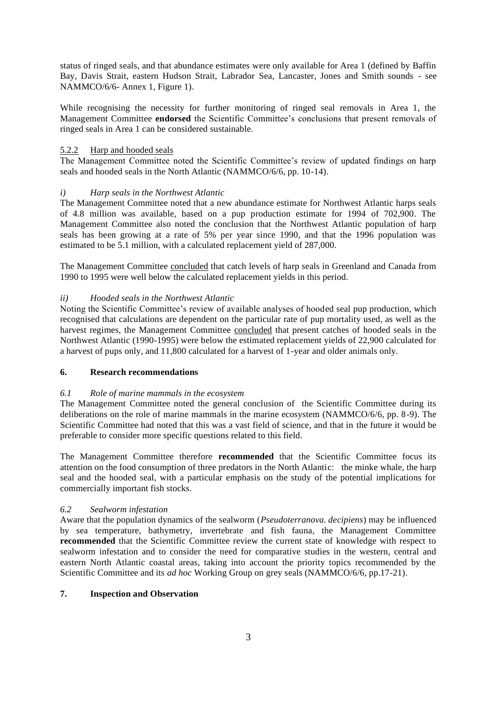status of ringed seals, and that abundance estimates were only available for Area 1 (defined by Baffin Bay, Davis Strait, eastern Hudson Strait, Labrador Sea, Lancaster, Jones and Smith sounds - see NAMMCO/6/6- Annex 1, Figure 1).

While recognising the necessity for further monitoring of ringed seal removals in Area 1, the Management Committee **endorsed** the Scientific Committee's conclusions that present removals of ringed seals in Area 1 can be considered sustainable.

### 5.2.2 Harp and hooded seals

The Management Committee noted the Scientific Committee's review of updated findings on harp seals and hooded seals in the North Atlantic (NAMMCO/6/6, pp. 10-14).

# *i) Harp seals in the Northwest Atlantic*

The Management Committee noted that a new abundance estimate for Northwest Atlantic harps seals of 4.8 million was available, based on a pup production estimate for 1994 of 702,900. The Management Committee also noted the conclusion that the Northwest Atlantic population of harp seals has been growing at a rate of 5% per year since 1990, and that the 1996 population was estimated to be 5.1 million, with a calculated replacement yield of 287,000.

The Management Committee concluded that catch levels of harp seals in Greenland and Canada from 1990 to 1995 were well below the calculated replacement yields in this period.

# *ii) Hooded seals in the Northwest Atlantic*

Noting the Scientific Committee's review of available analyses of hooded seal pup production, which recognised that calculations are dependent on the particular rate of pup mortality used, as well as the harvest regimes, the Management Committee concluded that present catches of hooded seals in the Northwest Atlantic (1990-1995) were below the estimated replacement yields of 22,900 calculated for a harvest of pups only, and 11,800 calculated for a harvest of 1-year and older animals only.

### **6. Research recommendations**

### *6.1 Role of marine mammals in the ecosystem*

The Management Committee noted the general conclusion of the Scientific Committee during its deliberations on the role of marine mammals in the marine ecosystem (NAMMCO/6/6, pp. 8-9). The Scientific Committee had noted that this was a vast field of science, and that in the future it would be preferable to consider more specific questions related to this field.

The Management Committee therefore **recommended** that the Scientific Committee focus its attention on the food consumption of three predators in the North Atlantic: the minke whale, the harp seal and the hooded seal, with a particular emphasis on the study of the potential implications for commercially important fish stocks.

### *6.2 Sealworm infestation*

Aware that the population dynamics of the sealworm (*Pseudoterranova. decipiens*) may be influenced by sea temperature, bathymetry, invertebrate and fish fauna, the Management Committee **recommended** that the Scientific Committee review the current state of knowledge with respect to sealworm infestation and to consider the need for comparative studies in the western, central and eastern North Atlantic coastal areas, taking into account the priority topics recommended by the Scientific Committee and its *ad hoc* Working Group on grey seals (NAMMCO/6/6, pp.17-21).

### **7. Inspection and Observation**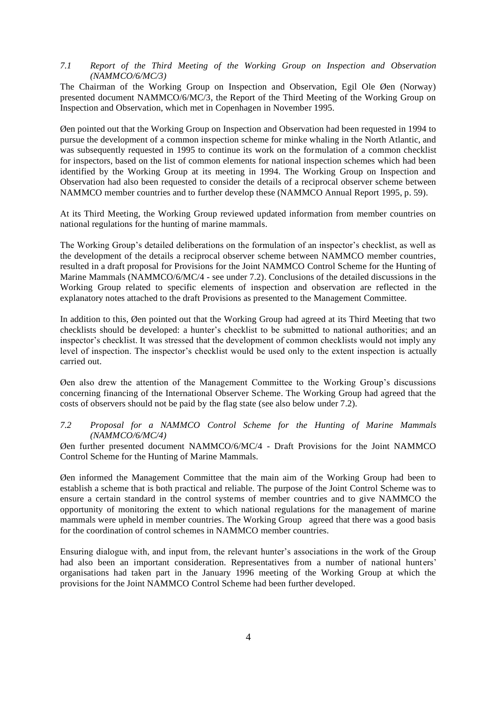### *7.1 Report of the Third Meeting of the Working Group on Inspection and Observation (NAMMCO/6/MC/3)*

The Chairman of the Working Group on Inspection and Observation, Egil Ole Øen (Norway) presented document NAMMCO/6/MC/3, the Report of the Third Meeting of the Working Group on Inspection and Observation, which met in Copenhagen in November 1995.

Øen pointed out that the Working Group on Inspection and Observation had been requested in 1994 to pursue the development of a common inspection scheme for minke whaling in the North Atlantic, and was subsequently requested in 1995 to continue its work on the formulation of a common checklist for inspectors, based on the list of common elements for national inspection schemes which had been identified by the Working Group at its meeting in 1994. The Working Group on Inspection and Observation had also been requested to consider the details of a reciprocal observer scheme between NAMMCO member countries and to further develop these (NAMMCO Annual Report 1995, p. 59).

At its Third Meeting, the Working Group reviewed updated information from member countries on national regulations for the hunting of marine mammals.

The Working Group's detailed deliberations on the formulation of an inspector's checklist, as well as the development of the details a reciprocal observer scheme between NAMMCO member countries, resulted in a draft proposal for Provisions for the Joint NAMMCO Control Scheme for the Hunting of Marine Mammals (NAMMCO/6/MC/4 - see under 7.2). Conclusions of the detailed discussions in the Working Group related to specific elements of inspection and observation are reflected in the explanatory notes attached to the draft Provisions as presented to the Management Committee.

In addition to this, Øen pointed out that the Working Group had agreed at its Third Meeting that two checklists should be developed: a hunter's checklist to be submitted to national authorities; and an inspector's checklist. It was stressed that the development of common checklists would not imply any level of inspection. The inspector's checklist would be used only to the extent inspection is actually carried out.

Øen also drew the attention of the Management Committee to the Working Group's discussions concerning financing of the International Observer Scheme. The Working Group had agreed that the costs of observers should not be paid by the flag state (see also below under 7.2).

### *7.2 Proposal for a NAMMCO Control Scheme for the Hunting of Marine Mammals (NAMMCO/6/MC/4)*

Øen further presented document NAMMCO/6/MC/4 - Draft Provisions for the Joint NAMMCO Control Scheme for the Hunting of Marine Mammals.

Øen informed the Management Committee that the main aim of the Working Group had been to establish a scheme that is both practical and reliable. The purpose of the Joint Control Scheme was to ensure a certain standard in the control systems of member countries and to give NAMMCO the opportunity of monitoring the extent to which national regulations for the management of marine mammals were upheld in member countries. The Working Group agreed that there was a good basis for the coordination of control schemes in NAMMCO member countries.

Ensuring dialogue with, and input from, the relevant hunter's associations in the work of the Group had also been an important consideration. Representatives from a number of national hunters' organisations had taken part in the January 1996 meeting of the Working Group at which the provisions for the Joint NAMMCO Control Scheme had been further developed.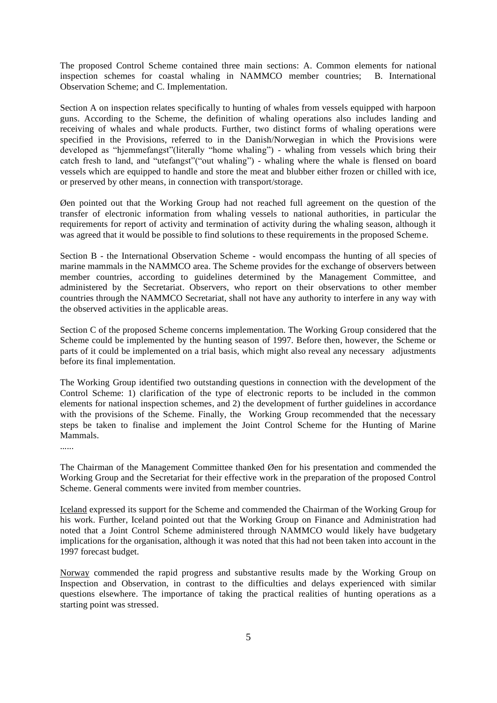The proposed Control Scheme contained three main sections: A. Common elements for national inspection schemes for coastal whaling in NAMMCO member countries; B. International Observation Scheme; and C. Implementation.

Section A on inspection relates specifically to hunting of whales from vessels equipped with harpoon guns. According to the Scheme, the definition of whaling operations also includes landing and receiving of whales and whale products. Further, two distinct forms of whaling operations were specified in the Provisions, referred to in the Danish/Norwegian in which the Provisions were developed as "hjemmefangst"(literally "home whaling") - whaling from vessels which bring their catch fresh to land, and "utefangst"("out whaling") - whaling where the whale is flensed on board vessels which are equipped to handle and store the meat and blubber either frozen or chilled with ice, or preserved by other means, in connection with transport/storage.

Øen pointed out that the Working Group had not reached full agreement on the question of the transfer of electronic information from whaling vessels to national authorities, in particular the requirements for report of activity and termination of activity during the whaling season, although it was agreed that it would be possible to find solutions to these requirements in the proposed Scheme.

Section B - the International Observation Scheme - would encompass the hunting of all species of marine mammals in the NAMMCO area. The Scheme provides for the exchange of observers between member countries, according to guidelines determined by the Management Committee, and administered by the Secretariat. Observers, who report on their observations to other member countries through the NAMMCO Secretariat, shall not have any authority to interfere in any way with the observed activities in the applicable areas.

Section C of the proposed Scheme concerns implementation. The Working Group considered that the Scheme could be implemented by the hunting season of 1997. Before then, however, the Scheme or parts of it could be implemented on a trial basis, which might also reveal any necessary adjustments before its final implementation.

The Working Group identified two outstanding questions in connection with the development of the Control Scheme: 1) clarification of the type of electronic reports to be included in the common elements for national inspection schemes, and 2) the development of further guidelines in accordance with the provisions of the Scheme. Finally, the Working Group recommended that the necessary steps be taken to finalise and implement the Joint Control Scheme for the Hunting of Marine Mammals.

......

The Chairman of the Management Committee thanked Øen for his presentation and commended the Working Group and the Secretariat for their effective work in the preparation of the proposed Control Scheme. General comments were invited from member countries.

Iceland expressed its support for the Scheme and commended the Chairman of the Working Group for his work. Further, Iceland pointed out that the Working Group on Finance and Administration had noted that a Joint Control Scheme administered through NAMMCO would likely have budgetary implications for the organisation, although it was noted that this had not been taken into account in the 1997 forecast budget.

Norway commended the rapid progress and substantive results made by the Working Group on Inspection and Observation, in contrast to the difficulties and delays experienced with similar questions elsewhere. The importance of taking the practical realities of hunting operations as a starting point was stressed.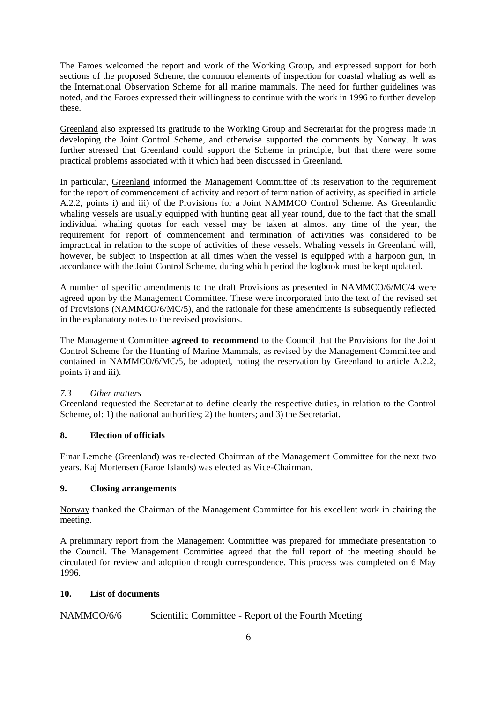The Faroes welcomed the report and work of the Working Group, and expressed support for both sections of the proposed Scheme, the common elements of inspection for coastal whaling as well as the International Observation Scheme for all marine mammals. The need for further guidelines was noted, and the Faroes expressed their willingness to continue with the work in 1996 to further develop these.

Greenland also expressed its gratitude to the Working Group and Secretariat for the progress made in developing the Joint Control Scheme, and otherwise supported the comments by Norway. It was further stressed that Greenland could support the Scheme in principle, but that there were some practical problems associated with it which had been discussed in Greenland.

In particular, Greenland informed the Management Committee of its reservation to the requirement for the report of commencement of activity and report of termination of activity, as specified in article A.2.2, points i) and iii) of the Provisions for a Joint NAMMCO Control Scheme. As Greenlandic whaling vessels are usually equipped with hunting gear all year round, due to the fact that the small individual whaling quotas for each vessel may be taken at almost any time of the year, the requirement for report of commencement and termination of activities was considered to be impractical in relation to the scope of activities of these vessels. Whaling vessels in Greenland will, however, be subject to inspection at all times when the vessel is equipped with a harpoon gun, in accordance with the Joint Control Scheme, during which period the logbook must be kept updated.

A number of specific amendments to the draft Provisions as presented in NAMMCO/6/MC/4 were agreed upon by the Management Committee. These were incorporated into the text of the revised set of Provisions (NAMMCO/6/MC/5), and the rationale for these amendments is subsequently reflected in the explanatory notes to the revised provisions.

The Management Committee **agreed to recommend** to the Council that the Provisions for the Joint Control Scheme for the Hunting of Marine Mammals, as revised by the Management Committee and contained in NAMMCO/6/MC/5, be adopted, noting the reservation by Greenland to article A.2.2, points i) and iii).

### *7.3 Other matters*

Greenland requested the Secretariat to define clearly the respective duties, in relation to the Control Scheme, of: 1) the national authorities; 2) the hunters; and 3) the Secretariat.

# **8. Election of officials**

Einar Lemche (Greenland) was re-elected Chairman of the Management Committee for the next two years. Kaj Mortensen (Faroe Islands) was elected as Vice-Chairman.

### **9. Closing arrangements**

Norway thanked the Chairman of the Management Committee for his excellent work in chairing the meeting.

A preliminary report from the Management Committee was prepared for immediate presentation to the Council. The Management Committee agreed that the full report of the meeting should be circulated for review and adoption through correspondence. This process was completed on 6 May 1996.

### **10. List of documents**

NAMMCO/6/6 Scientific Committee - Report of the Fourth Meeting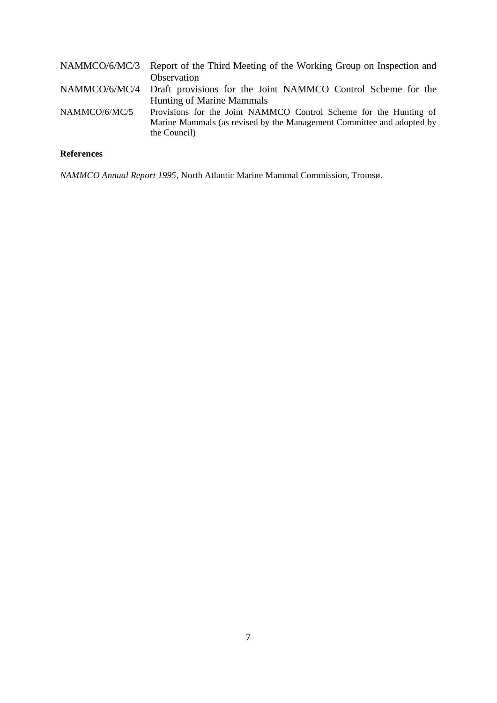|               | NAMMCO/6/MC/3 Report of the Third Meeting of the Working Group on Inspection and                                                                           |
|---------------|------------------------------------------------------------------------------------------------------------------------------------------------------------|
|               | Observation                                                                                                                                                |
|               | NAMMCO/6/MC/4 Draft provisions for the Joint NAMMCO Control Scheme for the                                                                                 |
|               | Hunting of Marine Mammals                                                                                                                                  |
| NAMMCO/6/MC/5 | Provisions for the Joint NAMMCO Control Scheme for the Hunting of<br>Marine Mammals (as revised by the Management Committee and adopted by<br>the Council) |

# **References**

*NAMMCO Annual Report 1995*, North Atlantic Marine Mammal Commission, Tromsø.